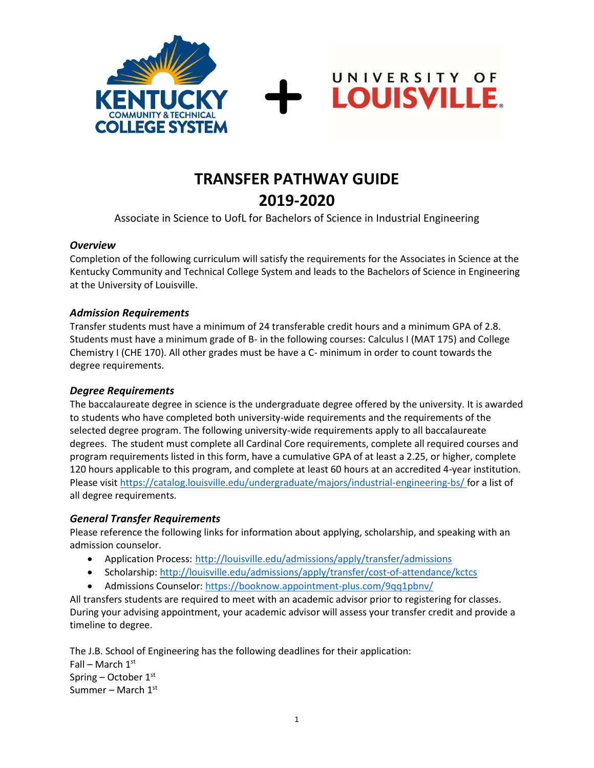



UNIVERSITY OF

**LOUISVILLE.** 

Associate in Science to UofL for Bachelors of Science in Industrial Engineering

#### *Overview*

Completion of the following curriculum will satisfy the requirements for the Associates in Science at the Kentucky Community and Technical College System and leads to the Bachelors of Science in Engineering at the University of Louisville.

#### *Admission Requirements*

Transfer students must have a minimum of 24 transferable credit hours and a minimum GPA of 2.8. Students must have a minimum grade of B- in the following courses: Calculus I (MAT 175) and College Chemistry I (CHE 170). All other grades must be have a C- minimum in order to count towards the degree requirements.

#### *Degree Requirements*

The baccalaureate degree in science is the undergraduate degree offered by the university. It is awarded to students who have completed both university-wide requirements and the requirements of the selected degree program. The following university-wide requirements apply to all baccalaureate degrees. The student must complete all Cardinal Core requirements, complete all required courses and program requirements listed in this form, have a cumulative GPA of at least a 2.25, or higher, complete 120 hours applicable to this program, and complete at least 60 hours at an accredited 4-year institution. Please visi[t https://catalog.louisville.edu/undergraduate/majors/industrial-engineering-bs/](https://catalog.louisville.edu/undergraduate/majors/industrial-engineering-bs/) for a list of all degree requirements.

#### *General Transfer Requirements*

Please reference the following links for information about applying, scholarship, and speaking with an admission counselor.

- Application Process: <http://louisville.edu/admissions/apply/transfer/admissions>
- Scholarship[: http://louisville.edu/admissions/apply/transfer/cost-of-attendance/kctcs](http://louisville.edu/admissions/apply/transfer/cost-of-attendance/kctcs)
- Admissions Counselor[: https://booknow.appointment-plus.com/9qq1pbnv/](https://booknow.appointment-plus.com/9qq1pbnv/)

All transfers students are required to meet with an academic advisor prior to registering for classes. During your advising appointment, your academic advisor will assess your transfer credit and provide a timeline to degree.

The J.B. School of Engineering has the following deadlines for their application: Fall – March  $1<sup>st</sup>$ Spring – October 1st Summer – March  $1<sup>st</sup>$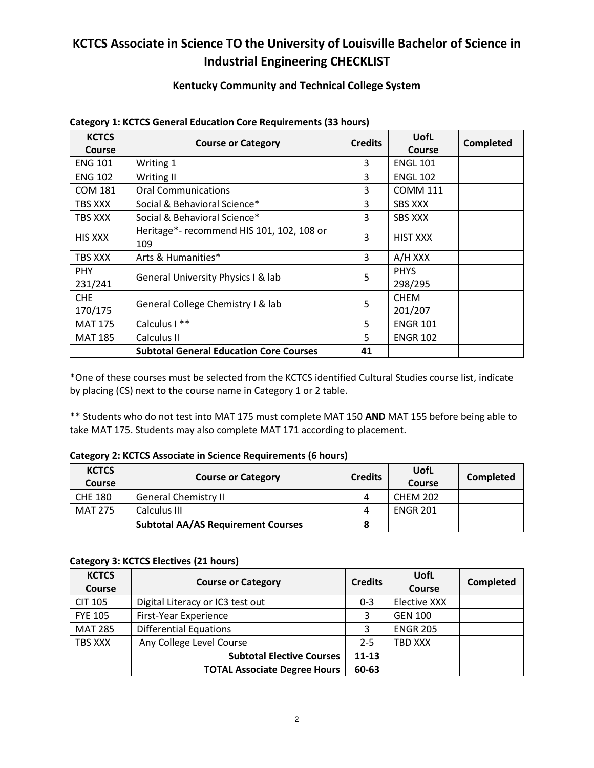## **KCTCS Associate in Science TO the University of Louisville Bachelor of Science in Industrial Engineering CHECKLIST**

#### **Kentucky Community and Technical College System**

| <b>KCTCS</b><br>Course | <b>Course or Category</b>                        | <b>Credits</b> | <b>UofL</b><br>Course  | Completed |
|------------------------|--------------------------------------------------|----------------|------------------------|-----------|
| <b>ENG 101</b>         | Writing 1                                        | 3              | <b>ENGL 101</b>        |           |
| <b>ENG 102</b>         | Writing II                                       | 3              | <b>ENGL 102</b>        |           |
| <b>COM 181</b>         | <b>Oral Communications</b>                       | 3              | <b>COMM 111</b>        |           |
| TBS XXX                | Social & Behavioral Science*                     | 3              | <b>SBS XXX</b>         |           |
| TBS XXX                | Social & Behavioral Science*                     | 3              | <b>SBS XXX</b>         |           |
| <b>HIS XXX</b>         | Heritage*- recommend HIS 101, 102, 108 or<br>109 | 3              | <b>HIST XXX</b>        |           |
| TBS XXX                | Arts & Humanities*                               | 3              | A/H XXX                |           |
| PHY.<br>231/241        | General University Physics I & lab               | 5              | <b>PHYS</b><br>298/295 |           |
| CHE<br>170/175         | General College Chemistry I & lab                | 5              | <b>CHEM</b><br>201/207 |           |
| <b>MAT 175</b>         | Calculus I **                                    | 5              | <b>ENGR 101</b>        |           |
| <b>MAT 185</b>         | Calculus II                                      | 5              | <b>ENGR 102</b>        |           |
|                        | <b>Subtotal General Education Core Courses</b>   | 41             |                        |           |

#### **Category 1: KCTCS General Education Core Requirements (33 hours)**

\*One of these courses must be selected from the KCTCS identified Cultural Studies course list, indicate by placing (CS) next to the course name in Category 1 or 2 table.

\*\* Students who do not test into MAT 175 must complete MAT 150 **AND** MAT 155 before being able to take MAT 175. Students may also complete MAT 171 according to placement.

#### **Category 2: KCTCS Associate in Science Requirements (6 hours)**

| <b>KCTCS</b><br>Course | <b>Course or Category</b>                 | <b>Credits</b> | UofL<br>Course  | Completed |
|------------------------|-------------------------------------------|----------------|-----------------|-----------|
| <b>CHE 180</b>         | <b>General Chemistry II</b>               | 4              | <b>CHEM 202</b> |           |
| <b>MAT 275</b>         | Calculus III                              | 4              | <b>ENGR 201</b> |           |
|                        | <b>Subtotal AA/AS Requirement Courses</b> |                |                 |           |

#### **Category 3: KCTCS Electives (21 hours)**

| <b>KCTCS</b>   | <b>Course or Category</b>           | <b>Credits</b> | UofL            | <b>Completed</b> |
|----------------|-------------------------------------|----------------|-----------------|------------------|
| <b>Course</b>  |                                     |                | Course          |                  |
| <b>CIT 105</b> | Digital Literacy or IC3 test out    | $0 - 3$        | Elective XXX    |                  |
| <b>FYE 105</b> | First-Year Experience               |                | <b>GEN 100</b>  |                  |
| <b>MAT 285</b> | <b>Differential Equations</b>       |                | <b>ENGR 205</b> |                  |
| TBS XXX        | Any College Level Course            | $2 - 5$        | TBD XXX         |                  |
|                | <b>Subtotal Elective Courses</b>    | $11 - 13$      |                 |                  |
|                | <b>TOTAL Associate Degree Hours</b> | 60-63          |                 |                  |